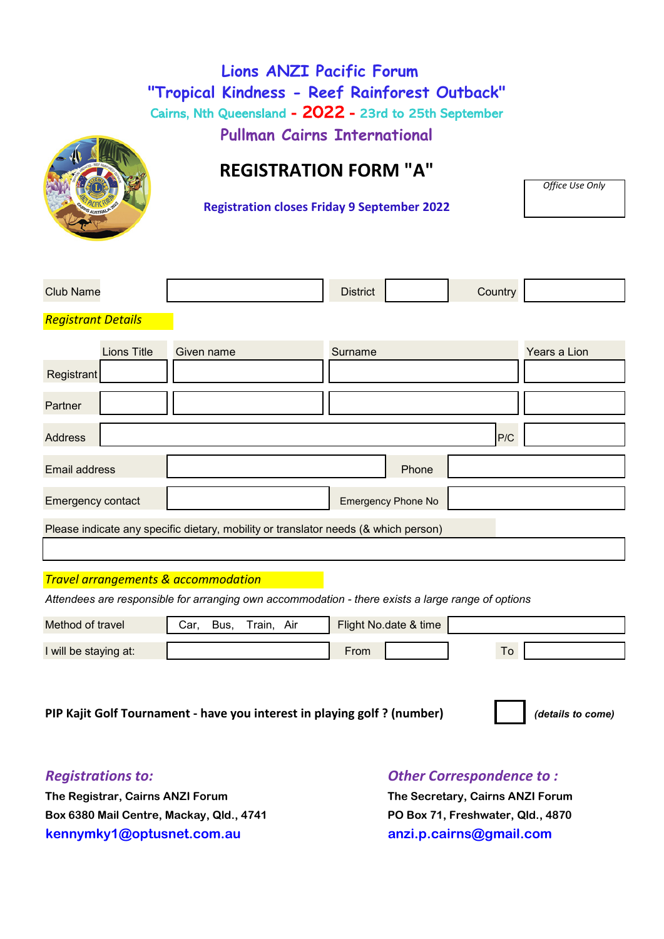## **Lions ANZI Pacific Forum "Tropical Kindness - Reef Rainforest Outback"** Cairns, Nth Queensland - 2022 - 23rd to 25th September **Pullman Cairns International**



# **REGISTRATION FORM "A"**

*Office Use Only*

**Registration closes Friday 9 September 2022**

| <b>Club Name</b>                                                                    |            | <b>District</b>           | Country |              |  |  |  |
|-------------------------------------------------------------------------------------|------------|---------------------------|---------|--------------|--|--|--|
| <b>Registrant Details</b>                                                           |            |                           |         |              |  |  |  |
| <b>Lions Title</b>                                                                  | Given name | Surname                   |         | Years a Lion |  |  |  |
| Registrant                                                                          |            |                           |         |              |  |  |  |
| Partner                                                                             |            |                           |         |              |  |  |  |
| <b>Address</b>                                                                      |            |                           | P/C     |              |  |  |  |
| Email address                                                                       |            | Phone                     |         |              |  |  |  |
| Emergency contact                                                                   |            | <b>Emergency Phone No</b> |         |              |  |  |  |
| Please indicate any specific dietary, mobility or translator needs (& which person) |            |                           |         |              |  |  |  |
|                                                                                     |            |                           |         |              |  |  |  |

### *Travel arrangements & accommodation*

*Attendees are responsible for arranging own accommodation - there exists a large range of options*

| Method of travel      | Car | Bus | rain. | Air | Flight No.date & time |  |    |  |
|-----------------------|-----|-----|-------|-----|-----------------------|--|----|--|
| I will be staying at: |     |     |       |     | From                  |  | To |  |

**PIP Kajit Golf Tournament - have you interest in playing golf ? (number)** *(details to come)*



**The Registrar, Cairns ANZI Forum The Secretary, Cairns ANZI Forum Box 6380 Mail Centre, Mackay, Qld., 4741 PO Box 71, Freshwater, Qld., 4870 kennymky1@optusnet.com.au anzi.p.cairns@gmail.com**

## *Registrations to: Other Correspondence to :*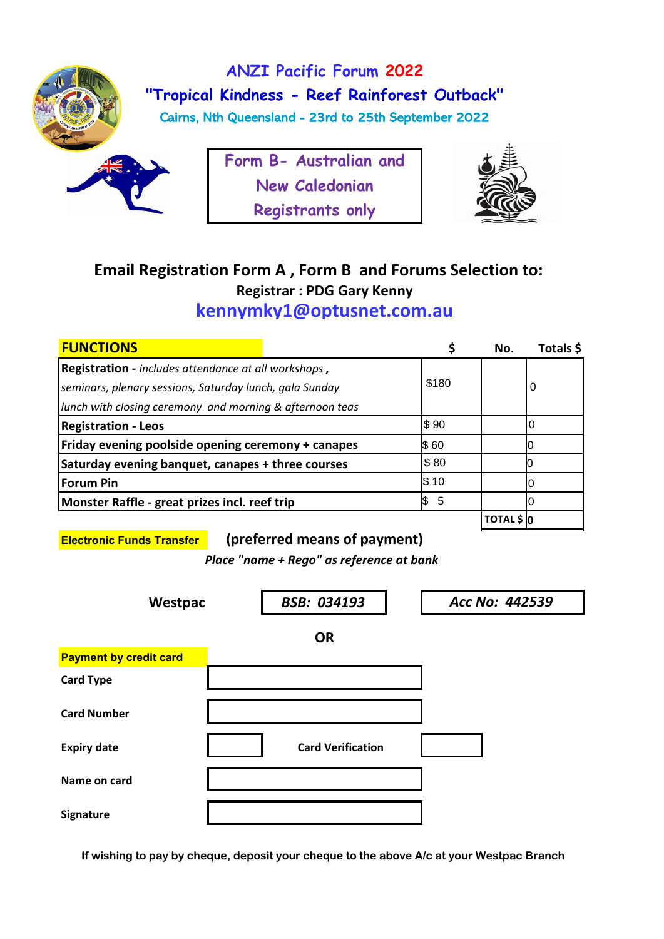

**ANZI Pacific Forum 2022 "Tropical Kindness - Reef Rainforest Outback"** Cairns, Nth Queensland - 23rd to 25th September 2022



**Form B- Australian and New Caledonian Registrants only**



## **Email Registration Form A , Form B and Forums Selection to: Registrar : PDG Gary Kenny kennymky1@optusnet.com.au**

| <b>FUNCTIONS</b>                                         |          | No.             | Totals \$ |
|----------------------------------------------------------|----------|-----------------|-----------|
| Registration - includes attendance at all workshops,     |          |                 |           |
| seminars, plenary sessions, Saturday lunch, gala Sunday  | \$180    |                 | 0         |
| lunch with closing ceremony and morning & afternoon teas |          |                 |           |
| <b>Registration - Leos</b>                               | \$90     |                 |           |
| Friday evening poolside opening ceremony + canapes       | \$60     |                 |           |
| Saturday evening banquet, canapes + three courses        | \$80     |                 |           |
| <b>Forum Pin</b>                                         | \$10     |                 |           |
| Monster Raffle - great prizes incl. reef trip            | \$<br>-5 |                 |           |
|                                                          |          | <b>TOTAL</b> \$ |           |

## **Electronic Funds Transfer (preferred means of payment)**

*Place "name + Rego" as reference at bank* 



**If wishing to pay by cheque, deposit your cheque to the above A/c at your Westpac Branch**